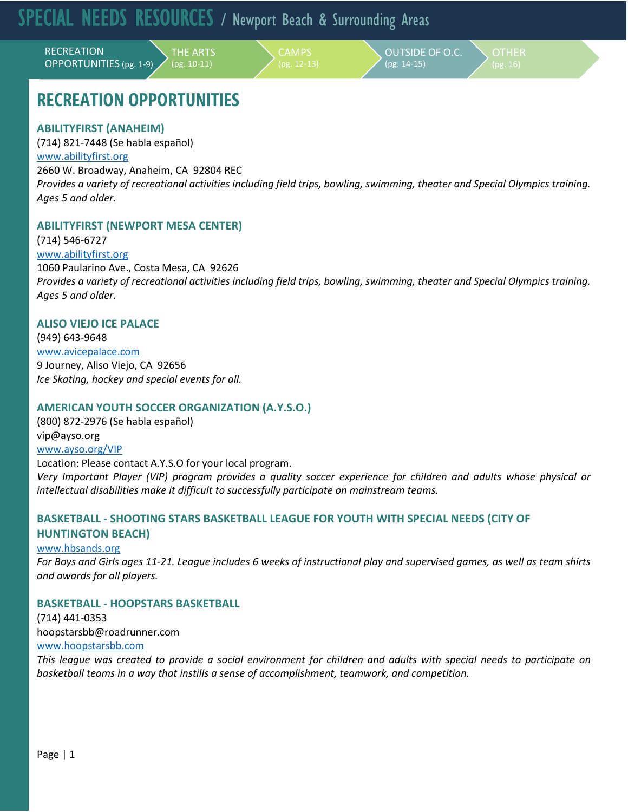# SPECIAL NEEDS RESOURCES / Newport Beach & Surrounding Areas

**RECREATION** OPPORTUNITIES (pg. 1-9)

THE ARTS (pg. 10-11)

**CAMPS** 

OUTSIDE OF O.C. (pg. 14-15)

**OTHER** 

# **RECREATION OPPORTUNITIES**

# **ABILITYFIRST (ANAHEIM)**

(714) 821-7448 (Se habla español) [www.abilityfirst.org](file://cnb.lcl/data/Users/RSS/Shared/Contract%20Classes/Special%20Needs%20Programming/Website/www.abilityfirst.org%20) 2660 W. Broadway, Anaheim, CA 92804 REC *Provides a variety of recreational activities including field trips, bowling, swimming, theater and Special Olympics training. Ages 5 and older.*

# **ABILITYFIRST (NEWPORT MESA CENTER)**

(714) 546-6727 [www.abilityfirst.org](file://cnb.lcl/data/Users/RSS/Shared/Contract%20Classes/Special%20Needs%20Programming/Website/www.abilityfirst.org%20) 1060 Paularino Ave., Costa Mesa, CA 92626 *Provides a variety of recreational activities including field trips, bowling, swimming, theater and Special Olympics training. Ages 5 and older.* 

# **ALISO VIEJO ICE PALACE**

(949) 643-9648 [www.avicepalace.com](file://cnb.lcl/data/Users/RSS/Shared/Contract%20Classes/Special%20Needs%20Programming/Website/www.avicepalace.com%20%20)  9 Journey, Aliso Viejo, CA 92656 *Ice Skating, hockey and special events for all.* 

# **AMERICAN YOUTH SOCCER ORGANIZATION (A.Y.S.O.)**

(800) 872-2976 (Se habla español) vip@ayso.org [www.ayso.org/VIP](file://cnb.lcl/data/Users/RSS/Shared/Contract%20Classes/Special%20Needs%20Programming/Website/www.ayso.org/VIP) 

Location: Please contact A.Y.S.O for your local program. *Very Important Player (VIP) program provides a quality soccer experience for children and adults whose physical or intellectual disabilities make it difficult to successfully participate on mainstream teams.*

# **BASKETBALL - SHOOTING STARS BASKETBALL LEAGUE FOR YOUTH WITH SPECIAL NEEDS (CITY OF HUNTINGTON BEACH)**

[www.hbsands.org](file://cnb.lcl/data/Users/RSS/Shared/Contract%20Classes/Special%20Needs%20Programming/Website/www.hbsands.org%20) *For Boys and Girls ages 11-21. League includes 6 weeks of instructional play and supervised games, as well as team shirts and awards for all players.* 

# **BASKETBALL - HOOPSTARS BASKETBALL**

(714) 441-0353 hoopstarsbb@roadrunner.com [www.hoopstarsbb.com](file://cnb.lcl/data/Users/RSS/Shared/Contract%20Classes/Special%20Needs%20Programming/Website/www.hoopstarsbb.com%20)

*This league was created to provide a social environment for children and adults with special needs to participate on basketball teams in a way that instills a sense of accomplishment, teamwork, and competition.*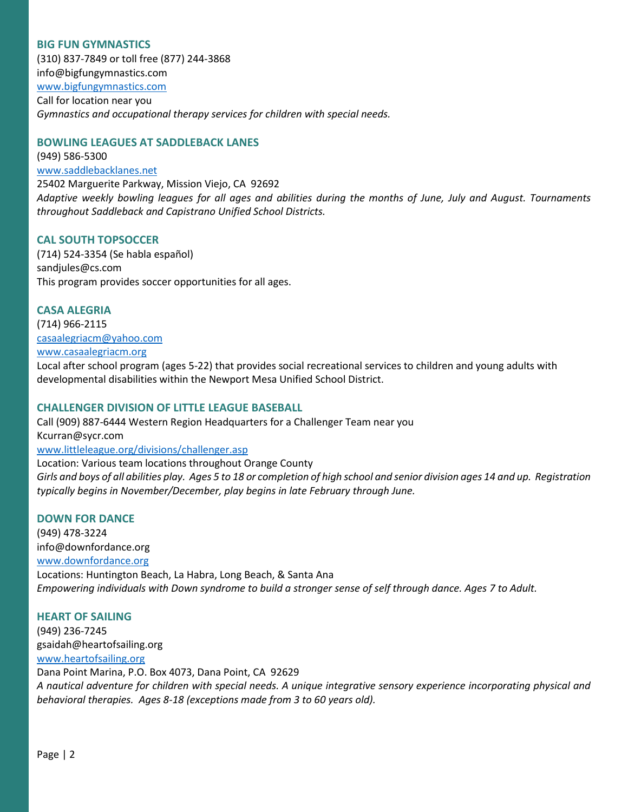#### **BIG FUN GYMNASTICS**

(310) 837-7849 or toll free (877) 244-3868 info@bigfungymnastics.com [www.bigfungymnastics.com](file://cnb.lcl/data/Users/RSS/Shared/Contract%20Classes/Special%20Needs%20Programming/Website/www.bigfungymnastics.com%20%20)  Call for location near you

*Gymnastics and occupational therapy services for children with special needs.* 

#### **BOWLING LEAGUES AT SADDLEBACK LANES**

(949) 586-5300 [www.saddlebacklanes.net](file://cnb.lcl/data/Users/RSS/Shared/Contract%20Classes/Special%20Needs%20Programming/Website/www.saddlebacklanes.net%20%20) 

25402 Marguerite Parkway, Mission Viejo, CA 92692 *Adaptive weekly bowling leagues for all ages and abilities during the months of June, July and August. Tournaments throughout Saddleback and Capistrano Unified School Districts.* 

#### **CAL SOUTH TOPSOCCER**

(714) 524-3354 (Se habla español) sandjules@cs.com This program provides soccer opportunities for all ages.

## **CASA ALEGRIA**

(714) 966-2115 [casaalegriacm@yahoo.com](mailto:casaalegriacm@yahoo.com) [www.casaalegriacm.org](http://www.casaalegriacm.org/)

Local after school program (ages 5-22) that provides social recreational services to children and young adults with developmental disabilities within the Newport Mesa Unified School District.

#### **CHALLENGER DIVISION OF LITTLE LEAGUE BASEBALL**

Call (909) 887-6444 Western Region Headquarters for a Challenger Team near you Kcurran@sycr.com [www.littleleague.org/divisions/challenger.asp](file://cnb.lcl/data/Users/RSS/Shared/Contract%20Classes/Special%20Needs%20Programming/Website/www.littleleague.org/divisions/challenger.asp) Location: Various team locations throughout Orange County *Girls and boys of all abilities play. Ages 5 to 18 or completion of high school and senior division ages 14 and up. Registration typically begins in November/December, play begins in late February through June.* 

#### **DOWN FOR DANCE**

(949) 478-3224 info@downfordance.org www.downfordance.org Locations: Huntington Beach, La Habra, Long Beach, & Santa Ana *Empowering individuals with Down syndrome to build a stronger sense of self through dance. Ages 7 to Adult.*

#### **HEART OF SAILING**

(949) 236-7245 gsaidah@heartofsailing.org [www.heartofsailing.org](file://cnb.lcl/data/Users/RSS/Shared/Contract%20Classes/Special%20Needs%20Programming/Website/www.heartofsailing.org%20%20%20)  Dana Point Marina, P.O. Box 4073, Dana Point, CA 92629 *A nautical adventure for children with special needs. A unique integrative sensory experience incorporating physical and behavioral therapies. Ages 8-18 (exceptions made from 3 to 60 years old).*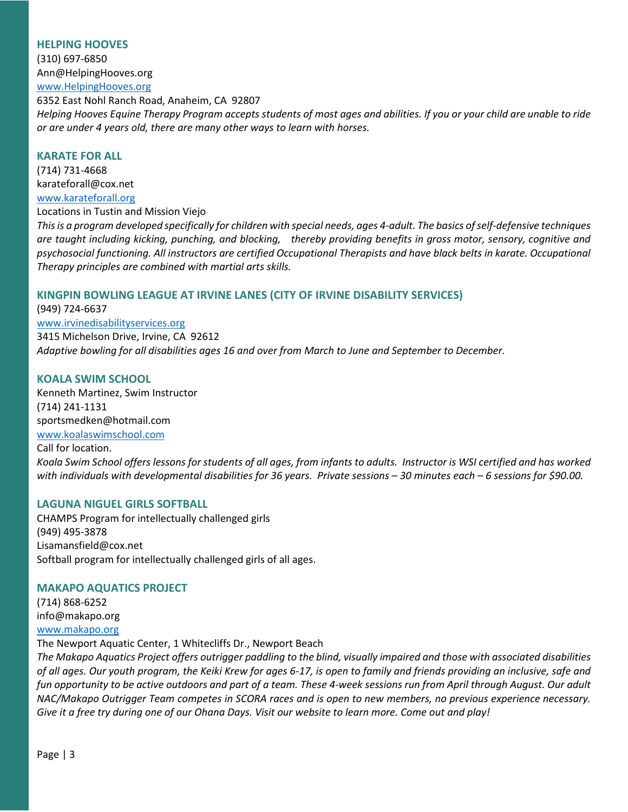#### **HELPING HOOVES**

(310) 697-6850 Ann@HelpingHooves.org [www.HelpingHooves.org](file://cnb.lcl/data/Users/RSS/Shared/Contract%20Classes/Special%20Needs%20Programming/Website/www.HelpingHooves.org) 

6352 East Nohl Ranch Road, Anaheim, CA 92807 *Helping Hooves Equine Therapy Program accepts students of most ages and abilities. If you or your child are unable to ride or are under 4 years old, there are many other ways to learn with horses.* 

#### **KARATE FOR ALL**

(714) 731-4668 karateforall@cox.net [www.karateforall.org](file://cnb.lcl/data/Users/RSS/Shared/Contract%20Classes/Special%20Needs%20Programming/Website/www.karateforall.org) 

Locations in Tustin and Mission Viejo

*This is a program developed specifically for children with special needs, ages 4-adult. The basics of self-defensive techniques are taught including kicking, punching, and blocking, thereby providing benefits in gross motor, sensory, cognitive and psychosocial functioning. All instructors are certified Occupational Therapists and have black belts in karate. Occupational Therapy principles are combined with martial arts skills.*

# **KINGPIN BOWLING LEAGUE AT IRVINE LANES (CITY OF IRVINE DISABILITY SERVICES)**

(949) 724-6637 [www.irvinedisabilityservices.org](file://cnb.lcl/data/Users/RSS/Shared/Contract%20Classes/Special%20Needs%20Programming/Website/www.irvinedisabilityservices.org%20) 3415 Michelson Drive, Irvine, CA 92612 *Adaptive bowling for all disabilities ages 16 and over from March to June and September to December.* 

# **KOALA SWIM SCHOOL**

Kenneth Martinez, Swim Instructor (714) 241-1131 sportsmedken@hotmail.com [www.koalaswimschool.com](file://cnb.lcl/data/Users/RSS/Shared/Contract%20Classes/Special%20Needs%20Programming/Website/www.koalaswimschool.com)  Call for location.

*Koala Swim School offers lessons for students of all ages, from infants to adults. Instructor is WSI certified and has worked with individuals with developmental disabilities for 36 years. Private sessions – 30 minutes each – 6 sessions for \$90.00.*

# **LAGUNA NIGUEL GIRLS SOFTBALL**

CHAMPS Program for intellectually challenged girls (949) 495-3878 Lisamansfield@cox.net Softball program for intellectually challenged girls of all ages.

# **MAKAPO AQUATICS PROJECT**

(714) 868-6252 info@makapo.org [www.makapo.org](http://www.makapo.org/) 

The Newport Aquatic Center, 1 Whitecliffs Dr., Newport Beach

*The Makapo Aquatics Project offers outrigger paddling to the blind, visually impaired and those with associated disabilities of all ages. Our youth program, the Keiki Krew for ages 6-17, is open to family and friends providing an inclusive, safe and fun opportunity to be active outdoors and part of a team. These 4-week sessions run from April through August. Our adult NAC/Makapo Outrigger Team competes in SCORA races and is open to new members, no previous experience necessary. Give it a free try during one of our Ohana Days. Visit our website to learn more. Come out and play!*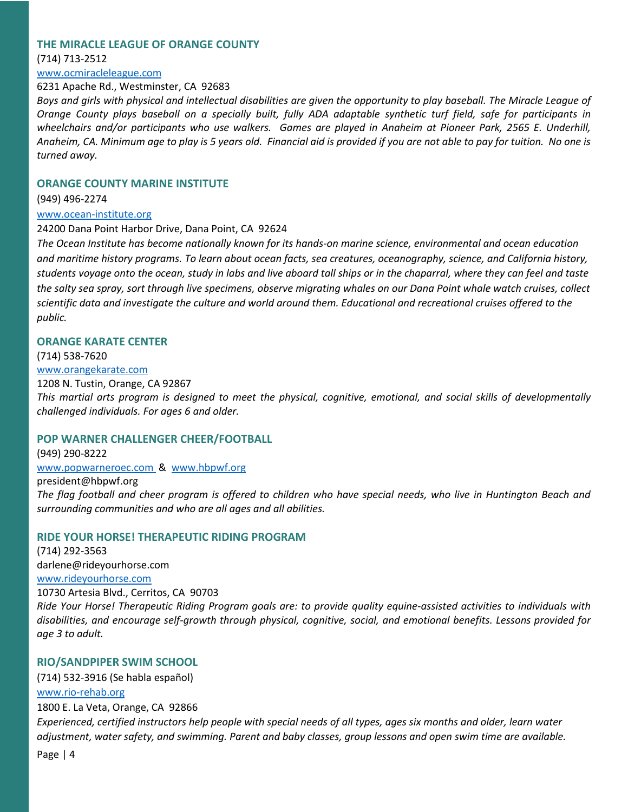#### **THE MIRACLE LEAGUE OF ORANGE COUNTY**

(714) 713-2512

[www.ocmiracleleague.com](file://cnb.lcl/data/Users/RSS/Shared/Contract%20Classes/Special%20Needs%20Programming/Website/www.ocmiracleleague.com%20)

#### 6231 Apache Rd., Westminster, CA 92683

*Boys and girls with physical and intellectual disabilities are given the opportunity to play baseball. The Miracle League of Orange County plays baseball on a specially built, fully ADA adaptable synthetic turf field, safe for participants in wheelchairs and/or participants who use walkers. Games are played in Anaheim at Pioneer Park, 2565 E. Underhill, Anaheim, CA. Minimum age to play is 5 years old. Financial aid is provided if you are not able to pay for tuition. No one is turned away.*

#### **ORANGE COUNTY MARINE INSTITUTE**

(949) 496-2274

#### [www.ocean-institute.org](file://cnb.lcl/data/Users/RSS/Shared/Contract%20Classes/Special%20Needs%20Programming/Website/www.ocean-institute.org%20%20)

24200 Dana Point Harbor Drive, Dana Point, CA 92624

*The Ocean Institute has become nationally known for its hands-on marine science, environmental and ocean education and maritime history programs. To learn about ocean facts, sea creatures, oceanography, science, and California history, students voyage onto the ocean, study in labs and live aboard tall ships or in the chaparral, where they can feel and taste the salty sea spray, sort through live specimens, observe migrating whales on our Dana Point whale watch cruises, collect scientific data and investigate the culture and world around them. Educational and recreational cruises offered to the public.* 

#### **ORANGE KARATE CENTER**

(714) 538-7620

[www.orangekarate.com](file://cnb.lcl/data/Users/RSS/Shared/Contract%20Classes/Special%20Needs%20Programming/Website/www.orangekarate.com%20%20) 

1208 N. Tustin, Orange, CA 92867

*This martial arts program is designed to meet the physical, cognitive, emotional, and social skills of developmentally challenged individuals. For ages 6 and older.*

#### **POP WARNER CHALLENGER CHEER/FOOTBALL**

(949) 290-8222 [www.popwarneroec.com](file://cnb.lcl/data/Users/RSS/Shared/Contract%20Classes/Special%20Needs%20Programming/Website/www.popwarneroec.com%20%20) & [www.hbpwf.org](file://cnb.lcl/data/Users/RSS/Shared/Contract%20Classes/Special%20Needs%20Programming/Website/www.hbpwf.org%20%20)  president@hbpwf.org *The flag football and cheer program is offered to children who have special needs, who live in Huntington Beach and surrounding communities and who are all ages and all abilities.* 

#### **RIDE YOUR HORSE! THERAPEUTIC RIDING PROGRAM**

(714) 292-3563 darlene@rideyourhorse.com [www.rideyourhorse.com](file://cnb.lcl/data/Users/RSS/Shared/Contract%20Classes/Special%20Needs%20Programming/Website/www.rideyourhorse.com%20%20)  10730 Artesia Blvd., Cerritos, CA 90703 *Ride Your Horse! Therapeutic Riding Program goals are: to provide quality equine-assisted activities to individuals with disabilities, and encourage self-growth through physical, cognitive, social, and emotional benefits. Lessons provided for age 3 to adult.* 

# **RIO/SANDPIPER SWIM SCHOOL**

(714) 532-3916 (Se habla español)

[www.rio-rehab.org](file://cnb.lcl/data/Users/RSS/Shared/Contract%20Classes/Special%20Needs%20Programming/Website/www.rio-rehab.org%20)

#### 1800 E. La Veta, Orange, CA 92866

*Experienced, certified instructors help people with special needs of all types, ages six months and older, learn water adjustment, water safety, and swimming. Parent and baby classes, group lessons and open swim time are available.* 

Page | 4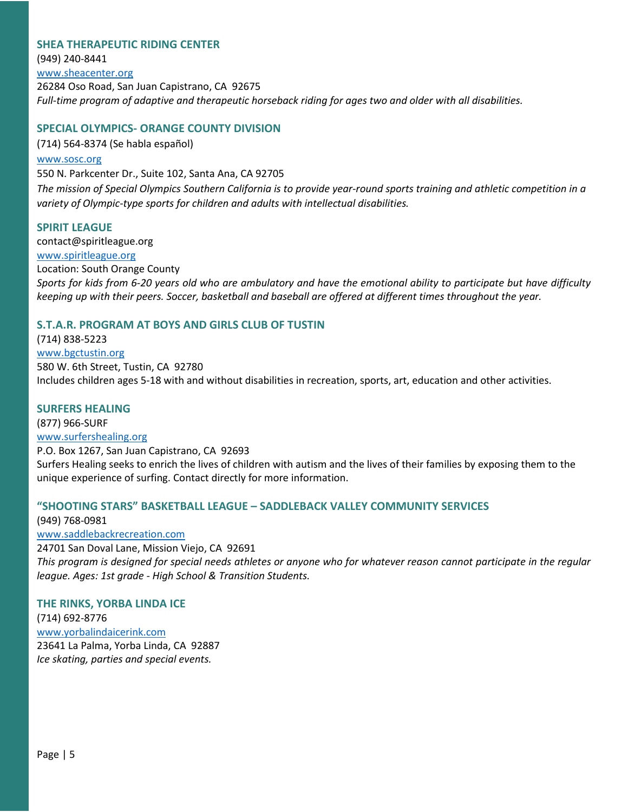# **SHEA THERAPEUTIC RIDING CENTER**

(949) 240-8441

[www.sheacenter.org](file://cnb.lcl/data/Users/RSS/Shared/Contract%20Classes/Special%20Needs%20Programming/Website/www.sheacenter.org%20%20) 

26284 Oso Road, San Juan Capistrano, CA 92675 *Full-time program of adaptive and therapeutic horseback riding for ages two and older with all disabilities.* 

## **SPECIAL OLYMPICS- ORANGE COUNTY DIVISION**

(714) 564-8374 (Se habla español) [www.sosc.org](file://cnb.lcl/data/Users/RSS/Shared/Contract%20Classes/Special%20Needs%20Programming/Website/www.sosc.org%20%20) 

550 N. Parkcenter Dr., Suite 102, Santa Ana, CA 92705 *The mission of Special Olympics Southern California is to provide year-round sports training and athletic competition in a variety of Olympic-type sports for children and adults with intellectual disabilities.*

#### **SPIRIT LEAGUE**

contact@spiritleague.org [www.spiritleague.org](file://cnb.lcl/data/Users/RSS/Shared/Contract%20Classes/Special%20Needs%20Programming/Website/www.spiritleague.org) Location: South Orange County *Sports for kids from 6-20 years old who are ambulatory and have the emotional ability to participate but have difficulty keeping up with their peers. Soccer, basketball and baseball are offered at different times throughout the year.*

# **S.T.A.R. PROGRAM AT BOYS AND GIRLS CLUB OF TUSTIN**

(714) 838-5223 [www.bgctustin.org](file://cnb.lcl/data/Users/RSS/Shared/Contract%20Classes/Special%20Needs%20Programming/Website/www.bgctustin.org%20%20)  580 W. 6th Street, Tustin, CA 92780 Includes children ages 5-18 with and without disabilities in recreation, sports, art, education and other activities.

### **SURFERS HEALING**

(877) 966-SURF [www.surfershealing.org](file://cnb.lcl/data/Users/RSS/Shared/Contract%20Classes/Special%20Needs%20Programming/Website/www.surfershealing.org%20%20)  P.O. Box 1267, San Juan Capistrano, CA 92693 Surfers Healing seeks to enrich the lives of children with autism and the lives of their families by exposing them to the unique experience of surfing. Contact directly for more information.

# **"SHOOTING STARS" BASKETBALL LEAGUE – SADDLEBACK VALLEY COMMUNITY SERVICES**

(949) 768-0981 [www.saddlebackrecreation.com](file://cnb.lcl/data/Users/RSS/Shared/Contract%20Classes/Special%20Needs%20Programming/Website/www.saddlebackrecreation.com%20%20) 24701 San Doval Lane, Mission Viejo, CA 92691 *This program is designed for special needs athletes or anyone who for whatever reason cannot participate in the regular league. Ages: 1st grade - High School & Transition Students.* 

**THE RINKS, YORBA LINDA ICE**  (714) 692-8776 [www.yorbalindaicerink.com](file://cnb.lcl/data/Users/RSS/Shared/Contract%20Classes/Special%20Needs%20Programming/Website/www.yorbalindaicerink.com%20%20)  23641 La Palma, Yorba Linda, CA 92887 *Ice skating, parties and special events.*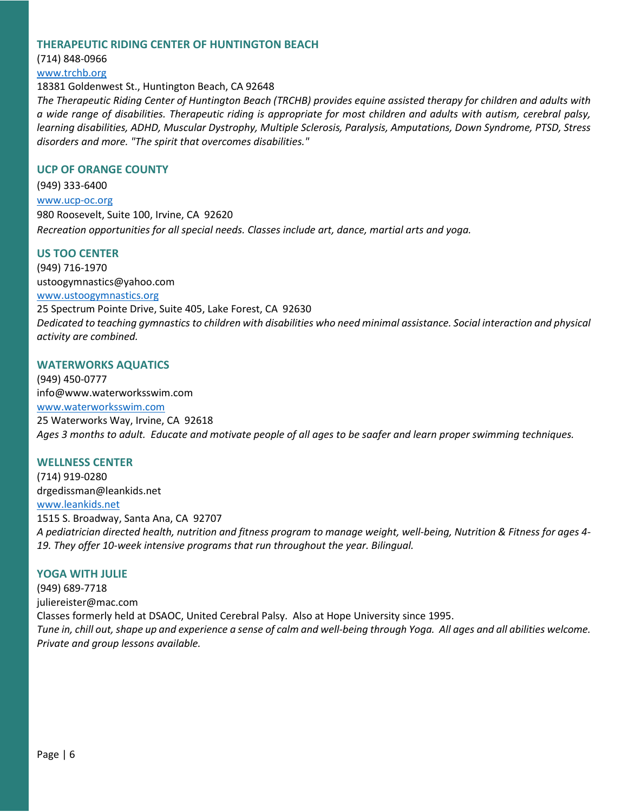#### **THERAPEUTIC RIDING CENTER OF HUNTINGTON BEACH**

(714) 848-0966

[www.trchb.org](file://cnb.lcl/data/Users/RSS/Shared/Contract%20Classes/Special%20Needs%20Programming/Website/www.trchb.org%20%20) 

18381 Goldenwest St., Huntington Beach, CA 92648

*The Therapeutic Riding Center of Huntington Beach (TRCHB) provides equine assisted therapy for children and adults with a wide range of disabilities. Therapeutic riding is appropriate for most children and adults with autism, cerebral palsy, learning disabilities, ADHD, Muscular Dystrophy, Multiple Sclerosis, Paralysis, Amputations, Down Syndrome, PTSD, Stress disorders and more. "The spirit that overcomes disabilities."*

#### **UCP OF ORANGE COUNTY**

(949) 333-6400

[www.ucp-oc.org](file://cnb.lcl/data/Users/RSS/Shared/Contract%20Classes/Special%20Needs%20Programming/Website/www.ucp-oc.org%20) 980 Roosevelt, Suite 100, Irvine, CA 92620 *Recreation opportunities for all special needs. Classes include art, dance, martial arts and yoga.*

#### **US TOO CENTER**

(949) 716-1970 ustoogymnastics@yahoo.com [www.ustoogymnastics.org](file://cnb.lcl/data/Users/RSS/Shared/Contract%20Classes/Special%20Needs%20Programming/Website/www.ustoogymnastics.org%20) 25 Spectrum Pointe Drive, Suite 405, Lake Forest, CA 92630 *Dedicated to teaching gymnastics to children with disabilities who need minimal assistance. Social interaction and physical activity are combined.* 

#### **WATERWORKS AQUATICS**

(949) 450-0777 info@www.waterworksswim.com [www.waterworksswim.com](file://cnb.lcl/data/Users/RSS/Shared/Contract%20Classes/Special%20Needs%20Programming/Website/www.waterworksswim.com%20) 25 Waterworks Way, Irvine, CA 92618 *Ages 3 months to adult. Educate and motivate people of all ages to be saafer and learn proper swimming techniques.* 

#### **WELLNESS CENTER**

(714) 919-0280 drgedissman@leankids.net [www.leankids.net](file://cnb.lcl/data/Users/RSS/Shared/Contract%20Classes/Special%20Needs%20Programming/Website/www.leankids.net%20%20)  1515 S. Broadway, Santa Ana, CA 92707 *A pediatrician directed health, nutrition and fitness program to manage weight, well-being, Nutrition & Fitness for ages 4- 19. They offer 10-week intensive programs that run throughout the year. Bilingual.* 

#### **YOGA WITH JULIE**

(949) 689-7718 juliereister@mac.com Classes formerly held at DSAOC, United Cerebral Palsy. Also at Hope University since 1995. *Tune in, chill out, shape up and experience a sense of calm and well-being through Yoga. All ages and all abilities welcome. Private and group lessons available.*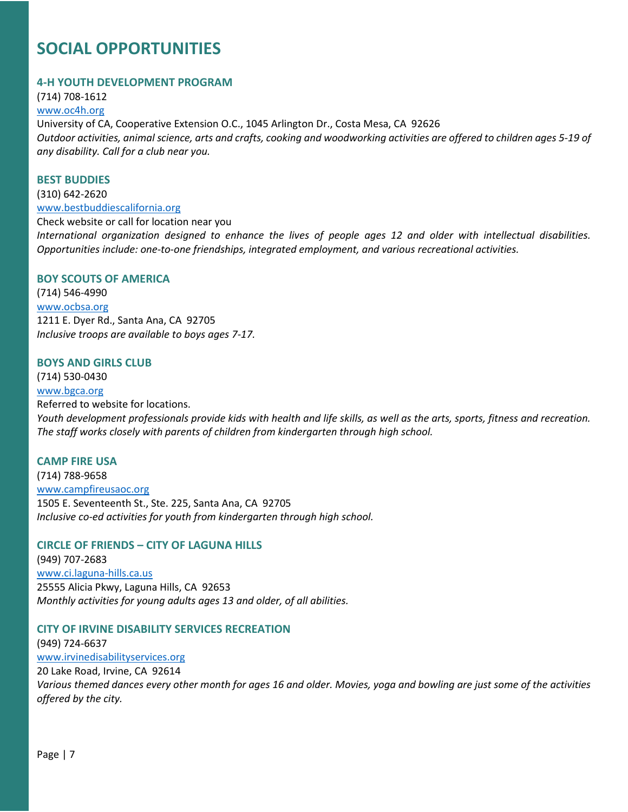# **SOCIAL OPPORTUNITIES**

## **4-H YOUTH DEVELOPMENT PROGRAM**

(714) 708-1612 [www.oc4h.org](file://cnb.lcl/data/Users/RSS/Shared/Contract%20Classes/Special%20Needs%20Programming/Website/www.oc4h.org) University of CA, Cooperative Extension O.C., 1045 Arlington Dr., Costa Mesa, CA 92626 *Outdoor activities, animal science, arts and crafts, cooking and woodworking activities are offered to children ages 5-19 of any disability. Call for a club near you.*

#### **BEST BUDDIES**

(310) 642-2620 [www.bestbuddiescalifornia.org](file://cnb.lcl/data/Users/RSS/Shared/Contract%20Classes/Special%20Needs%20Programming/Website/www.bestbuddiescalifornia.org%20%20) 

Check website or call for location near you *International organization designed to enhance the lives of people ages 12 and older with intellectual disabilities. Opportunities include: one-to-one friendships, integrated employment, and various recreational activities.* 

#### **BOY SCOUTS OF AMERICA**

(714) 546-4990 [www.ocbsa.org](file://cnb.lcl/data/Users/RSS/Shared/Contract%20Classes/Special%20Needs%20Programming/Website/www.ocbsa.org%20%20)  1211 E. Dyer Rd., Santa Ana, CA 92705 *Inclusive troops are available to boys ages 7-17.*

#### **BOYS AND GIRLS CLUB**

(714) 530-0430 [www.bgca.org](file://cnb.lcl/data/Users/RSS/Shared/Contract%20Classes/Special%20Needs%20Programming/Website/www.bgca.org%20%20)  Referred to website for locations. *Youth development professionals provide kids with health and life skills, as well as the arts, sports, fitness and recreation. The staff works closely with parents of children from kindergarten through high school.* 

#### **CAMP FIRE USA**

(714) 788-9658 [www.campfireusaoc.org](file://cnb.lcl/data/Users/RSS/Shared/Contract%20Classes/Special%20Needs%20Programming/Website/www.campfireusaoc.org%20%20)  1505 E. Seventeenth St., Ste. 225, Santa Ana, CA 92705 *Inclusive co-ed activities for youth from kindergarten through high school.*

#### **CIRCLE OF FRIENDS – CITY OF LAGUNA HILLS**

(949) 707-2683 [www.ci.laguna-hills.ca.us](file://cnb.lcl/data/Users/RSS/Shared/Contract%20Classes/Special%20Needs%20Programming/Website/www.ci.laguna-hills.ca.us%20%20)  25555 Alicia Pkwy, Laguna Hills, CA 92653 *Monthly activities for young adults ages 13 and older, of all abilities.* 

#### **CITY OF IRVINE DISABILITY SERVICES RECREATION**

(949) 724-6637 [www.irvinedisabilityservices.org](file://cnb.lcl/data/Users/RSS/Shared/Contract%20Classes/Special%20Needs%20Programming/Website/www.irvinedisabilityservices.org%20%20)  20 Lake Road, Irvine, CA 92614 *Various themed dances every other month for ages 16 and older. Movies, yoga and bowling are just some of the activities offered by the city.*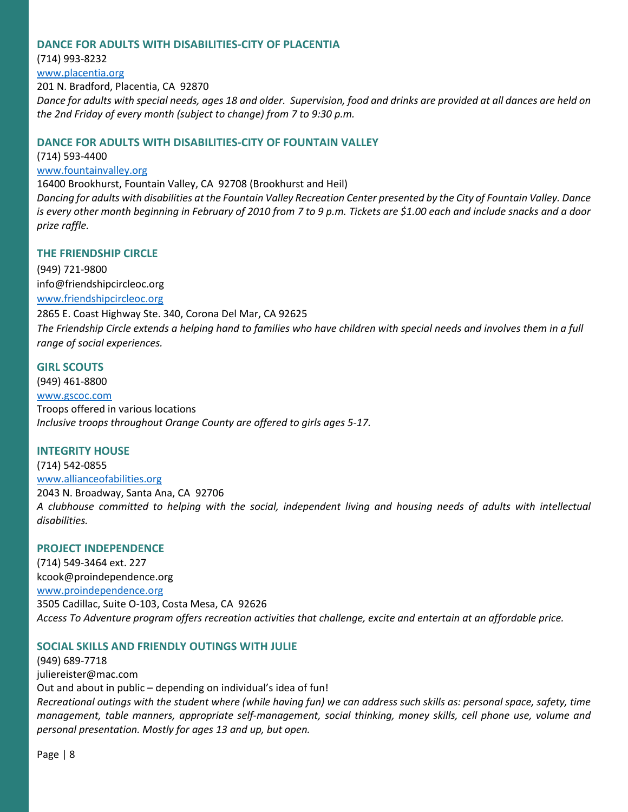#### **DANCE FOR ADULTS WITH DISABILITIES-CITY OF PLACENTIA**

(714) 993-8232

[www.placentia.org](file://cnb.lcl/data/Users/RSS/Shared/Contract%20Classes/Special%20Needs%20Programming/Website/www.placentia.org%20%20%20) 

201 N. Bradford, Placentia, CA 92870

*Dance for adults with special needs, ages 18 and older. Supervision, food and drinks are provided at all dances are held on the 2nd Friday of every month (subject to change) from 7 to 9:30 p.m.* 

### **DANCE FOR ADULTS WITH DISABILITIES-CITY OF FOUNTAIN VALLEY**

(714) 593-4400 [www.fountainvalley.org](file://cnb.lcl/data/Users/RSS/Shared/Contract%20Classes/Special%20Needs%20Programming/Website/www.fountainvalley.org%20%20%20) 

16400 Brookhurst, Fountain Valley, CA 92708 (Brookhurst and Heil)

*Dancing for adults with disabilities at the Fountain Valley Recreation Center presented by the City of Fountain Valley. Dance is every other month beginning in February of 2010 from 7 to 9 p.m. Tickets are \$1.00 each and include snacks and a door prize raffle.*

# **THE FRIENDSHIP CIRCLE**

(949) 721-9800 info@friendshipcircleoc.org [www.friendshipcircleoc.org](file://cnb.lcl/data/Users/RSS/Shared/Contract%20Classes/Special%20Needs%20Programming/Website/www.friendshipcircleoc.org%20%20%20)  2865 E. Coast Highway Ste. 340, Corona Del Mar, CA 92625 *The Friendship Circle extends a helping hand to families who have children with special needs and involves them in a full range of social experiences.* 

**GIRL SCOUTS**  (949) 461-8800 [www.gscoc.com](file://cnb.lcl/data/Users/RSS/Shared/Contract%20Classes/Special%20Needs%20Programming/Website/www.gscoc.com%20%20)  Troops offered in various locations *Inclusive troops throughout Orange County are offered to girls ages 5-17.* 

#### **INTEGRITY HOUSE**

(714) 542-0855 [www.allianceofabilities.org](file://cnb.lcl/data/Users/RSS/Shared/Contract%20Classes/Special%20Needs%20Programming/Website/www.allianceofabilities.org%20) 2043 N. Broadway, Santa Ana, CA 92706 *A clubhouse committed to helping with the social, independent living and housing needs of adults with intellectual disabilities.* 

#### **PROJECT INDEPENDENCE**

(714) 549-3464 ext. 227 kcook@proindependence.org [www.proindependence.org](file://cnb.lcl/data/Users/RSS/Shared/Contract%20Classes/Special%20Needs%20Programming/Website/www.proindependence.org%20) 3505 Cadillac, Suite O-103, Costa Mesa, CA 92626 *Access To Adventure program offers recreation activities that challenge, excite and entertain at an affordable price.*

# **SOCIAL SKILLS AND FRIENDLY OUTINGS WITH JULIE**

(949) 689-7718 juliereister@mac.com Out and about in public – depending on individual's idea of fun! *Recreational outings with the student where (while having fun) we can address such skills as: personal space, safety, time management, table manners, appropriate self-management, social thinking, money skills, cell phone use, volume and personal presentation. Mostly for ages 13 and up, but open.*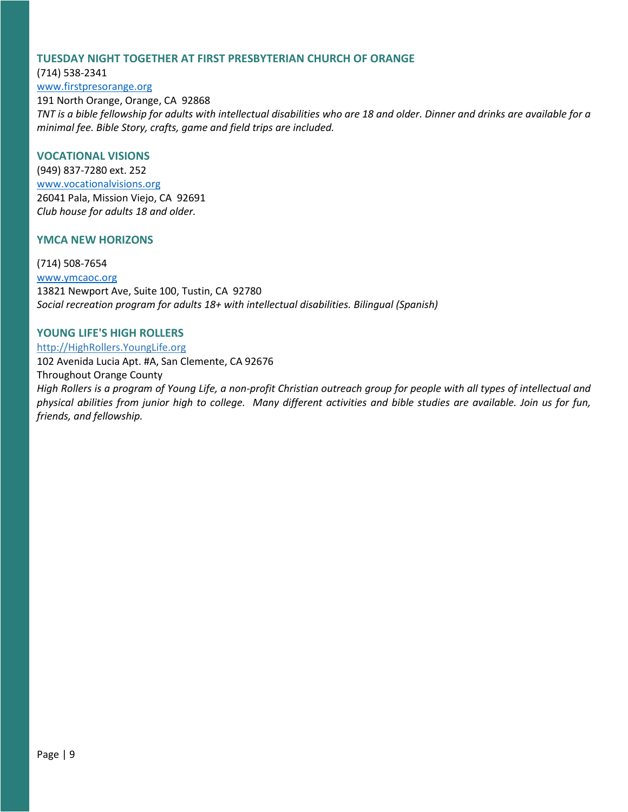# **TUESDAY NIGHT TOGETHER AT FIRST PRESBYTERIAN CHURCH OF ORANGE**

#### (714) 538-2341

[www.firstpresorange.org](file://cnb.lcl/data/Users/RSS/Shared/Contract%20Classes/Special%20Needs%20Programming/Website/www.firstpresorange.org%20%20) 

191 North Orange, Orange, CA 92868 *TNT is a bible fellowship for adults with intellectual disabilities who are 18 and older. Dinner and drinks are available for a minimal fee. Bible Story, crafts, game and field trips are included.* 

### **VOCATIONAL VISIONS**

(949) 837-7280 ext. 252 [www.vocationalvisions.org](file://cnb.lcl/data/Users/RSS/Shared/Contract%20Classes/Special%20Needs%20Programming/Website/www.vocationalvisions.org%20%20)  26041 Pala, Mission Viejo, CA 92691 *Club house for adults 18 and older.* 

## **YMCA NEW HORIZONS**

(714) 508-7654 [www.ymcaoc.org](file://cnb.lcl/data/Users/RSS/Shared/Contract%20Classes/Special%20Needs%20Programming/Website/www.ymcaoc.org%20%20)  13821 Newport Ave, Suite 100, Tustin, CA 92780 *Social recreation program for adults 18+ with intellectual disabilities. Bilingual (Spanish)*

# **YOUNG LIFE'S HIGH ROLLERS**

http://HighRollers.YoungLife.org

102 Avenida Lucia Apt. #A, San Clemente, CA 92676 Throughout Orange County *High Rollers is a program of Young Life, a non-profit Christian outreach group for people with all types of intellectual and physical abilities from junior high to college. Many different activities and bible studies are available. Join us for fun, friends, and fellowship.*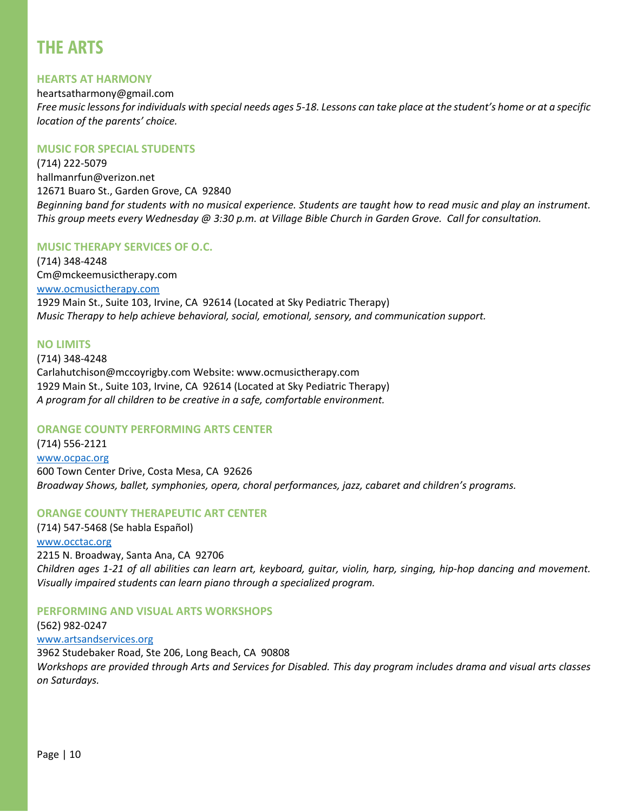# **THE ARTS**

#### **HEARTS AT HARMONY**

heartsatharmony@gmail.com *Free music lessons for individuals with special needs ages 5-18. Lessons can take place at the student's home or at a specific location of the parents' choice.*

#### **MUSIC FOR SPECIAL STUDENTS**

(714) 222-5079 hallmanrfun@verizon.net 12671 Buaro St., Garden Grove, CA 92840 *Beginning band for students with no musical experience. Students are taught how to read music and play an instrument. This group meets every Wednesday @ 3:30 p.m. at Village Bible Church in Garden Grove. Call for consultation.*

#### **MUSIC THERAPY SERVICES OF O.C.**

(714) 348-4248 Cm@mckeemusictherapy.com [www.ocmusictherapy.com](file://cnb.lcl/data/Users/RSS/Shared/Contract%20Classes/Special%20Needs%20Programming/Website/www.ocmusictherapy.com) 1929 Main St., Suite 103, Irvine, CA 92614 (Located at Sky Pediatric Therapy) *Music Therapy to help achieve behavioral, social, emotional, sensory, and communication support.*

## **NO LIMITS**

(714) 348-4248 Carlahutchison@mccoyrigby.com Website: www.ocmusictherapy.com 1929 Main St., Suite 103, Irvine, CA 92614 (Located at Sky Pediatric Therapy) *A program for all children to be creative in a safe, comfortable environment.*

#### **ORANGE COUNTY PERFORMING ARTS CENTER**

(714) 556-2121 [www.ocpac.org](file://cnb.lcl/data/Users/RSS/Shared/Contract%20Classes/Special%20Needs%20Programming/Website/www.ocpac.org%20%20)  600 Town Center Drive, Costa Mesa, CA 92626 *Broadway Shows, ballet, symphonies, opera, choral performances, jazz, cabaret and children's programs.* 

#### **ORANGE COUNTY THERAPEUTIC ART CENTER**

(714) 547-5468 (Se habla Español) [www.occtac.org](file://cnb.lcl/data/Users/RSS/Shared/Contract%20Classes/Special%20Needs%20Programming/Website/www.occtac.org%20%20)  2215 N. Broadway, Santa Ana, CA 92706 *Children ages 1-21 of all abilities can learn art, keyboard, guitar, violin, harp, singing, hip-hop dancing and movement. Visually impaired students can learn piano through a specialized program.* 

# **PERFORMING AND VISUAL ARTS WORKSHOPS**

(562) 982-0247

#### [www.artsandservices.org](file://cnb.lcl/data/Users/RSS/Shared/Contract%20Classes/Special%20Needs%20Programming/Website/www.artsandservices.org%20%20)

3962 Studebaker Road, Ste 206, Long Beach, CA 90808 *Workshops are provided through Arts and Services for Disabled. This day program includes drama and visual arts classes on Saturdays.*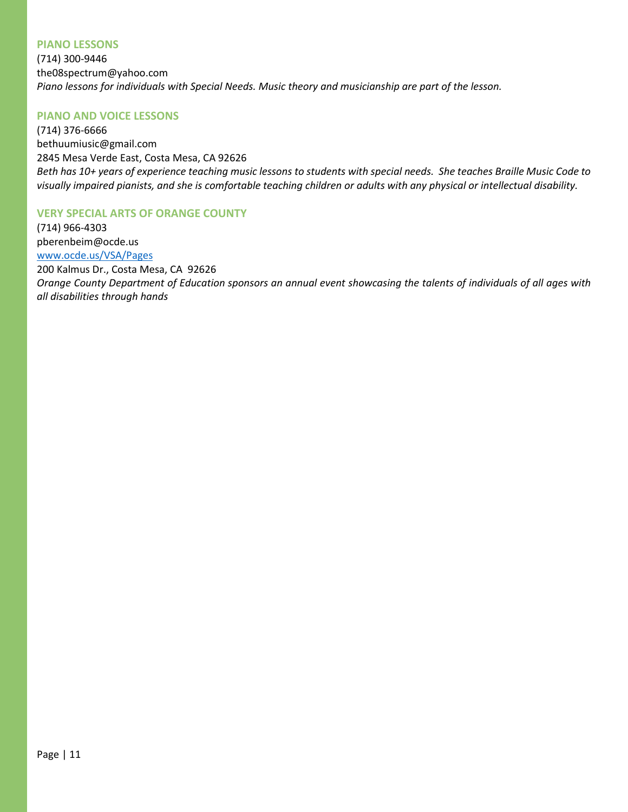#### **PIANO LESSONS**

(714) 300-9446 the08spectrum@yahoo.com *Piano lessons for individuals with Special Needs. Music theory and musicianship are part of the lesson.* 

#### **PIANO AND VOICE LESSONS**

(714) 376-6666 bethuumiusic@gmail.com 2845 Mesa Verde East, Costa Mesa, CA 92626 *Beth has 10+ years of experience teaching music lessons to students with special needs. She teaches Braille Music Code to visually impaired pianists, and she is comfortable teaching children or adults with any physical or intellectual disability.* 

#### **VERY SPECIAL ARTS OF ORANGE COUNTY**

(714) 966-4303 pberenbeim@ocde.us [www.ocde.us/VSA/Pages](file://cnb.lcl/data/Users/RSS/Shared/Contract%20Classes/Special%20Needs%20Programming/Website/www.ocde.us/VSA/Pages) 200 Kalmus Dr., Costa Mesa, CA 92626 *Orange County Department of Education sponsors an annual event showcasing the talents of individuals of all ages with all disabilities through hands*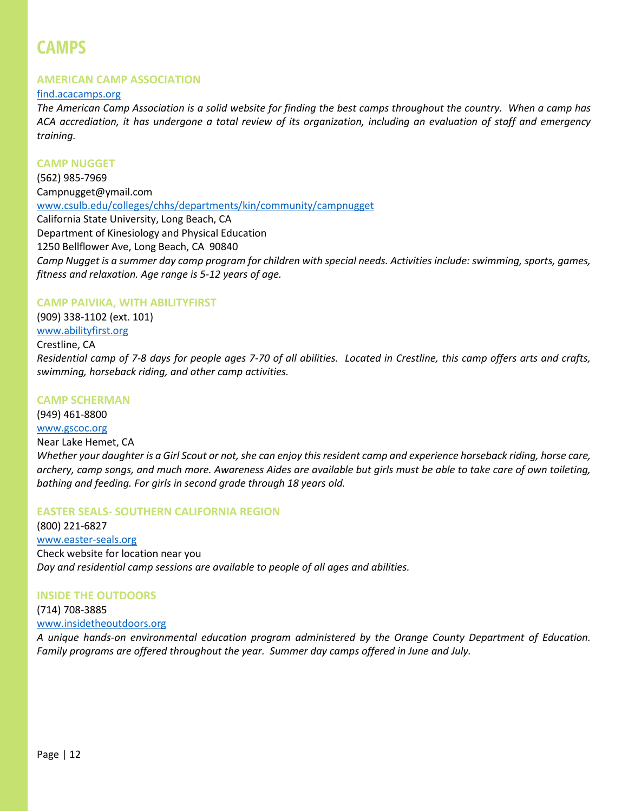# **CAMPS**

# **AMERICAN CAMP ASSOCIATION**

#### [find.acacamps.org](http://find.acacamps.org/)

*The American Camp Association is a solid website for finding the best camps throughout the country. When a camp has ACA accrediation, it has undergone a total review of its organization, including an evaluation of staff and emergency training.*

#### **CAMP NUGGET**

(562) 985-7969 Campnugget@ymail.com [www.csulb.edu/colleges/chhs/departments/kin/community/campnugget](file://cnb.lcl/data/Users/RSS/Shared/Contract%20Classes/Special%20Needs%20Programming/Website/www.csulb.edu/colleges/chhs/departments/kin/community/campnugget) California State University, Long Beach, CA Department of Kinesiology and Physical Education 1250 Bellflower Ave, Long Beach, CA 90840 *Camp Nugget is a summer day camp program for children with special needs. Activities include: swimming, sports, games, fitness and relaxation. Age range is 5-12 years of age.*

#### **CAMP PAIVIKA, WITH ABILITYFIRST**

(909) 338-1102 (ext. 101) [www.abilityfirst.org](file://cnb.lcl/data/Users/RSS/Shared/Contract%20Classes/Special%20Needs%20Programming/Website/www.abilityfirst.org%20%20)  Crestline, CA

*Residential camp of 7-8 days for people ages 7-70 of all abilities. Located in Crestline, this camp offers arts and crafts, swimming, horseback riding, and other camp activities.*

## **CAMP SCHERMAN**

(949) 461-8800 [www.gscoc.org](file://cnb.lcl/data/Users/RSS/Shared/Contract%20Classes/Special%20Needs%20Programming/Website/www.gscoc.org%20%20)  Near Lake Hemet, CA *Whether your daughter is a Girl Scout or not, she can enjoy this resident camp and experience horseback riding, horse care, archery, camp songs, and much more. Awareness Aides are available but girls must be able to take care of own toileting, bathing and feeding. For girls in second grade through 18 years old.* 

# **EASTER SEALS- SOUTHERN CALIFORNIA REGION**

(800) 221-6827 [www.easter-seals.org](file://cnb.lcl/data/Users/RSS/Shared/Contract%20Classes/Special%20Needs%20Programming/Website/www.easter-seals.org%20) Check website for location near you *Day and residential camp sessions are available to people of all ages and abilities.*

#### **INSIDE THE OUTDOORS**

(714) 708-3885

## [www.insidetheoutdoors.org](file://cnb.lcl/data/Users/RSS/Shared/Contract%20Classes/Special%20Needs%20Programming/Website/www.insidetheoutdoors.org%20%20)

*A unique hands-on environmental education program administered by the Orange County Department of Education. Family programs are offered throughout the year. Summer day camps offered in June and July.*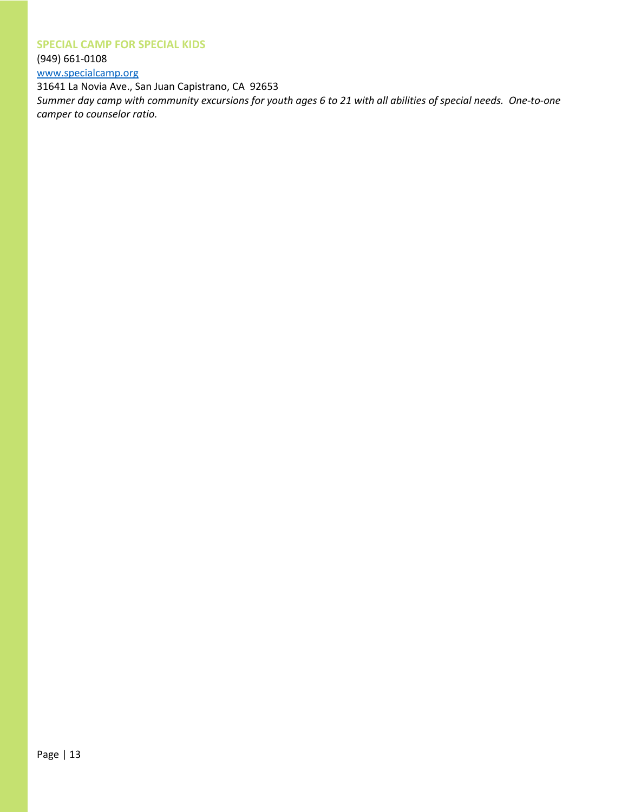#### **SPECIAL CAMP FOR SPECIAL KIDS**

(949) 661-0108

[www.specialcamp.org](file://cnb.lcl/data/Users/RSS/Shared/Contract%20Classes/Special%20Needs%20Programming/Website/www.specialcamp.org%20)

31641 La Novia Ave., San Juan Capistrano, CA 92653 *Summer day camp with community excursions for youth ages 6 to 21 with all abilities of special needs. One-to-one camper to counselor ratio.*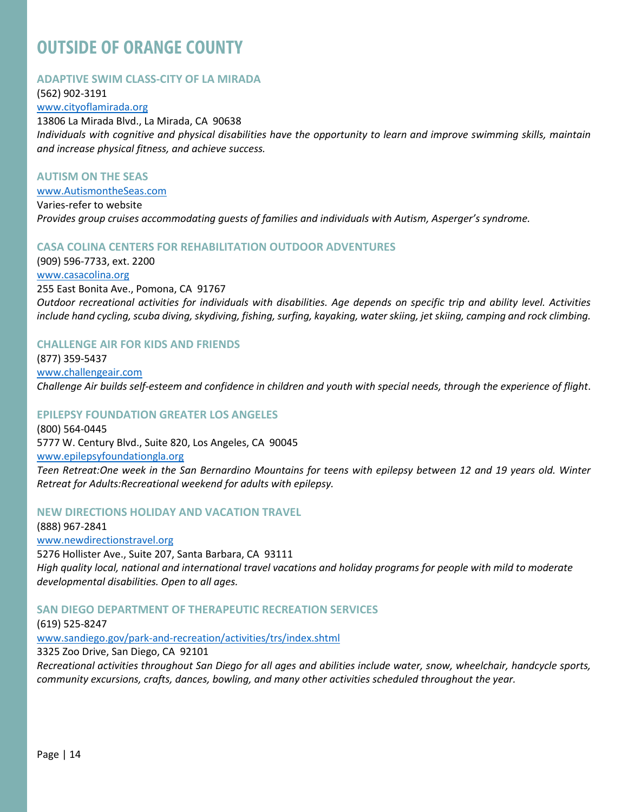# **OUTSIDE OF ORANGE COUNTY**

## **ADAPTIVE SWIM CLASS-CITY OF LA MIRADA**

#### (562) 902-3191

#### [www.cityoflamirada.org](file://cnb.lcl/data/Users/RSS/Shared/Contract%20Classes/Special%20Needs%20Programming/Website/www.cityoflamirada.org%20%20)

13806 La Mirada Blvd., La Mirada, CA 90638 *Individuals with cognitive and physical disabilities have the opportunity to learn and improve swimming skills, maintain and increase physical fitness, and achieve success.*

#### **AUTISM ON THE SEAS**

#### [www.AutismontheSeas.com](file://cnb.lcl/data/Users/RSS/Shared/Contract%20Classes/Special%20Needs%20Programming/Website/www.AutismontheSeas.com%20%20)

Varies-refer to website *Provides group cruises accommodating guests of families and individuals with Autism, Asperger's syndrome.* 

## **CASA COLINA CENTERS FOR REHABILITATION OUTDOOR ADVENTURES**

(909) 596-7733, ext. 2200 [www.casacolina.org](file://cnb.lcl/data/Users/RSS/Shared/Contract%20Classes/Special%20Needs%20Programming/Website/www.casacolina.org%20%20) 

255 East Bonita Ave., Pomona, CA 91767 *Outdoor recreational activities for individuals with disabilities. Age depends on specific trip and ability level. Activities include hand cycling, scuba diving, skydiving, fishing, surfing, kayaking, water skiing, jet skiing, camping and rock climbing.*

## **CHALLENGE AIR FOR KIDS AND FRIENDS**

(877) 359-5437 [www.challengeair.com](file://cnb.lcl/data/Users/RSS/Shared/Contract%20Classes/Special%20Needs%20Programming/Website/www.challengeair.com%20) *Challenge Air builds self-esteem and confidence in children and youth with special needs, through the experience of flight*.

# **EPILEPSY FOUNDATION GREATER LOS ANGELES**

(800) 564-0445 5777 W. Century Blvd., Suite 820, Los Angeles, CA 90045 [www.epilepsyfoundationgla.org](file://cnb.lcl/data/Users/RSS/Shared/Contract%20Classes/Special%20Needs%20Programming/Website/www.epilepsyfoundationgla.org%20)

*Teen Retreat:One week in the San Bernardino Mountains for teens with epilepsy between 12 and 19 years old. Winter Retreat for Adults:Recreational weekend for adults with epilepsy.*

# **NEW DIRECTIONS HOLIDAY AND VACATION TRAVEL**

(888) 967-2841 [www.newdirectionstravel.org](file://cnb.lcl/data/Users/RSS/Shared/Contract%20Classes/Special%20Needs%20Programming/Website/www.newdirectionstravel.org%20) 5276 Hollister Ave., Suite 207, Santa Barbara, CA 93111 *High quality local, national and international travel vacations and holiday programs for people with mild to moderate developmental disabilities. Open to all ages.*

# **SAN DIEGO DEPARTMENT OF THERAPEUTIC RECREATION SERVICES**

(619) 525-8247

[www.sandiego.gov/park-and-recreation/activities/trs/index.shtml](file://cnb.lcl/data/Users/RSS/Shared/Contract%20Classes/Special%20Needs%20Programming/Website/www.sandiego.gov/park-and-recreation/activities/trs/index.shtml) 

3325 Zoo Drive, San Diego, CA 92101

*Recreational activities throughout San Diego for all ages and abilities include water, snow, wheelchair, handcycle sports, community excursions, crafts, dances, bowling, and many other activities scheduled throughout the year.*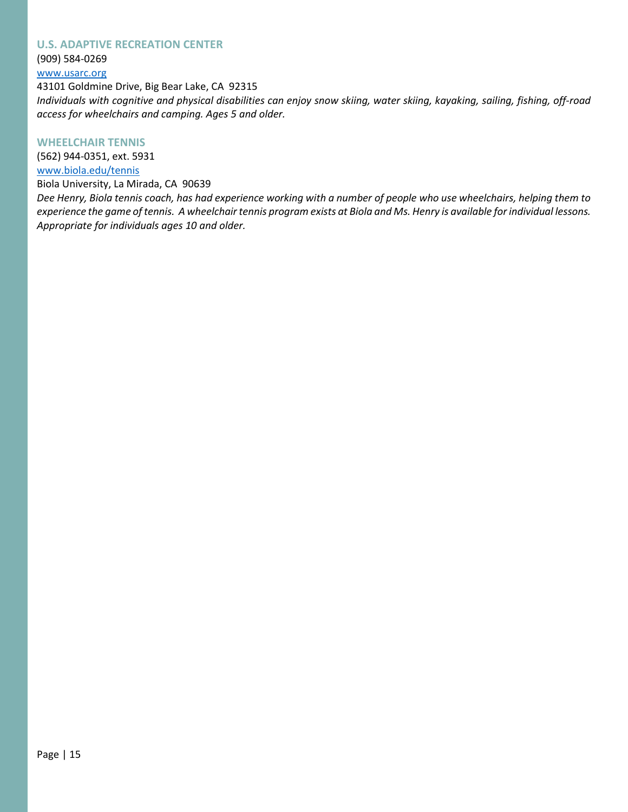### **U.S. ADAPTIVE RECREATION CENTER**

(909) 584-0269

[www.usarc.org](file://cnb.lcl/data/Users/RSS/Shared/Contract%20Classes/Special%20Needs%20Programming/Website/www.usarc.org%20%20) 

43101 Goldmine Drive, Big Bear Lake, CA 92315 *Individuals with cognitive and physical disabilities can enjoy snow skiing, water skiing, kayaking, sailing, fishing, off-road access for wheelchairs and camping. Ages 5 and older.*

## **WHEELCHAIR TENNIS**

(562) 944-0351, ext. 5931 [www.biola.edu/tennis](file://cnb.lcl/data/Users/RSS/Shared/Contract%20Classes/Special%20Needs%20Programming/Website/www.biola.edu/tennis) 

Biola University, La Mirada, CA 90639

*Dee Henry, Biola tennis coach, has had experience working with a number of people who use wheelchairs, helping them to experience the game of tennis. A wheelchair tennis program exists at Biola and Ms. Henry is available for individual lessons. Appropriate for individuals ages 10 and older.*